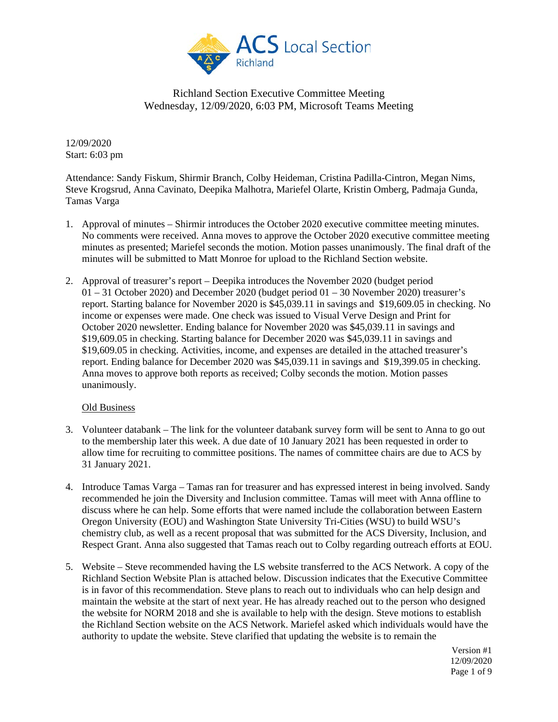

12/09/2020 Start: 6:03 pm

Attendance: Sandy Fiskum, Shirmir Branch, Colby Heideman, Cristina Padilla-Cintron, Megan Nims, Steve Krogsrud, Anna Cavinato, Deepika Malhotra, Mariefel Olarte, Kristin Omberg, Padmaja Gunda, Tamas Varga

- 1. Approval of minutes Shirmir introduces the October 2020 executive committee meeting minutes. No comments were received. Anna moves to approve the October 2020 executive committee meeting minutes as presented; Mariefel seconds the motion. Motion passes unanimously. The final draft of the minutes will be submitted to Matt Monroe for upload to the Richland Section website.
- 2. Approval of treasurer's report Deepika introduces the November 2020 (budget period  $01 - 31$  October 2020) and December 2020 (budget period  $01 - 30$  November 2020) treasurer's report. Starting balance for November 2020 is \$45,039.11 in savings and \$19,609.05 in checking. No income or expenses were made. One check was issued to Visual Verve Design and Print for October 2020 newsletter. Ending balance for November 2020 was \$45,039.11 in savings and \$19,609.05 in checking. Starting balance for December 2020 was \$45,039.11 in savings and \$19,609.05 in checking. Activities, income, and expenses are detailed in the attached treasurer's report. Ending balance for December 2020 was \$45,039.11 in savings and \$19,399.05 in checking. Anna moves to approve both reports as received; Colby seconds the motion. Motion passes unanimously.

#### Old Business

- 3. Volunteer databank The link for the volunteer databank survey form will be sent to Anna to go out to the membership later this week. A due date of 10 January 2021 has been requested in order to allow time for recruiting to committee positions. The names of committee chairs are due to ACS by 31 January 2021.
- 4. Introduce Tamas Varga Tamas ran for treasurer and has expressed interest in being involved. Sandy recommended he join the Diversity and Inclusion committee. Tamas will meet with Anna offline to discuss where he can help. Some efforts that were named include the collaboration between Eastern Oregon University (EOU) and Washington State University Tri-Cities (WSU) to build WSU's chemistry club, as well as a recent proposal that was submitted for the ACS Diversity, Inclusion, and Respect Grant. Anna also suggested that Tamas reach out to Colby regarding outreach efforts at EOU.
- 5. Website Steve recommended having the LS website transferred to the ACS Network. A copy of the Richland Section Website Plan is attached below. Discussion indicates that the Executive Committee is in favor of this recommendation. Steve plans to reach out to individuals who can help design and maintain the website at the start of next year. He has already reached out to the person who designed the website for NORM 2018 and she is available to help with the design. Steve motions to establish the Richland Section website on the ACS Network. Mariefel asked which individuals would have the authority to update the website. Steve clarified that updating the website is to remain the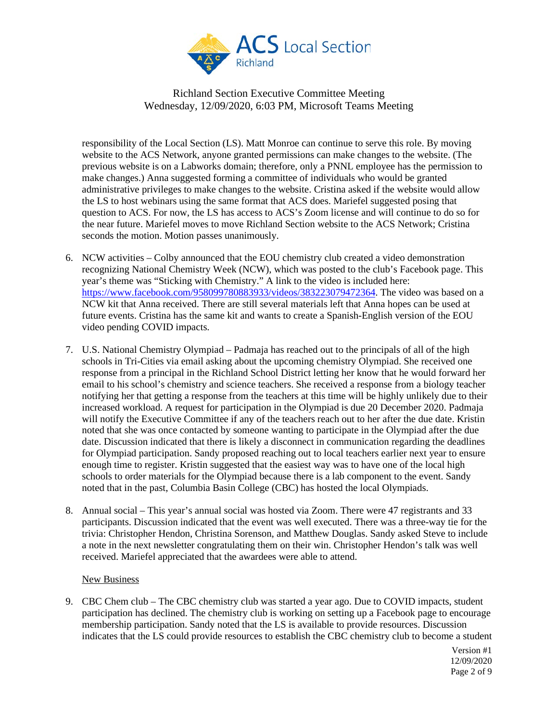

responsibility of the Local Section (LS). Matt Monroe can continue to serve this role. By moving website to the ACS Network, anyone granted permissions can make changes to the website. (The previous website is on a Labworks domain; therefore, only a PNNL employee has the permission to make changes.) Anna suggested forming a committee of individuals who would be granted administrative privileges to make changes to the website. Cristina asked if the website would allow the LS to host webinars using the same format that ACS does. Mariefel suggested posing that question to ACS. For now, the LS has access to ACS's Zoom license and will continue to do so for the near future. Mariefel moves to move Richland Section website to the ACS Network; Cristina seconds the motion. Motion passes unanimously.

- 6. NCW activities Colby announced that the EOU chemistry club created a video demonstration recognizing National Chemistry Week (NCW), which was posted to the club's Facebook page. This year's theme was "Sticking with Chemistry." A link to the video is included here: [https://www.facebook.com/958099780883933/videos/383223079472364.](https://www.facebook.com/958099780883933/videos/383223079472364) The video was based on a NCW kit that Anna received. There are still several materials left that Anna hopes can be used at future events. Cristina has the same kit and wants to create a Spanish-English version of the EOU video pending COVID impacts.
- 7. U.S. National Chemistry Olympiad Padmaja has reached out to the principals of all of the high schools in Tri-Cities via email asking about the upcoming chemistry Olympiad. She received one response from a principal in the Richland School District letting her know that he would forward her email to his school's chemistry and science teachers. She received a response from a biology teacher notifying her that getting a response from the teachers at this time will be highly unlikely due to their increased workload. A request for participation in the Olympiad is due 20 December 2020. Padmaja will notify the Executive Committee if any of the teachers reach out to her after the due date. Kristin noted that she was once contacted by someone wanting to participate in the Olympiad after the due date. Discussion indicated that there is likely a disconnect in communication regarding the deadlines for Olympiad participation. Sandy proposed reaching out to local teachers earlier next year to ensure enough time to register. Kristin suggested that the easiest way was to have one of the local high schools to order materials for the Olympiad because there is a lab component to the event. Sandy noted that in the past, Columbia Basin College (CBC) has hosted the local Olympiads.
- 8. Annual social This year's annual social was hosted via Zoom. There were 47 registrants and 33 participants. Discussion indicated that the event was well executed. There was a three-way tie for the trivia: Christopher Hendon, Christina Sorenson, and Matthew Douglas. Sandy asked Steve to include a note in the next newsletter congratulating them on their win. Christopher Hendon's talk was well received. Mariefel appreciated that the awardees were able to attend.

#### New Business

9. CBC Chem club – The CBC chemistry club was started a year ago. Due to COVID impacts, student participation has declined. The chemistry club is working on setting up a Facebook page to encourage membership participation. Sandy noted that the LS is available to provide resources. Discussion indicates that the LS could provide resources to establish the CBC chemistry club to become a student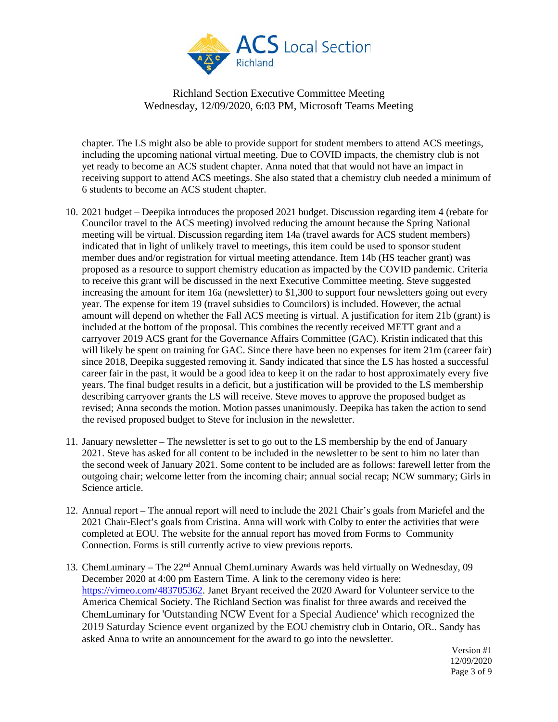

chapter. The LS might also be able to provide support for student members to attend ACS meetings, including the upcoming national virtual meeting. Due to COVID impacts, the chemistry club is not yet ready to become an ACS student chapter. Anna noted that that would not have an impact in receiving support to attend ACS meetings. She also stated that a chemistry club needed a minimum of 6 students to become an ACS student chapter.

- 10. 2021 budget Deepika introduces the proposed 2021 budget. Discussion regarding item 4 (rebate for Councilor travel to the ACS meeting) involved reducing the amount because the Spring National meeting will be virtual. Discussion regarding item 14a (travel awards for ACS student members) indicated that in light of unlikely travel to meetings, this item could be used to sponsor student member dues and/or registration for virtual meeting attendance. Item 14b (HS teacher grant) was proposed as a resource to support chemistry education as impacted by the COVID pandemic. Criteria to receive this grant will be discussed in the next Executive Committee meeting. Steve suggested increasing the amount for item 16a (newsletter) to \$1,300 to support four newsletters going out every year. The expense for item 19 (travel subsidies to Councilors) is included. However, the actual amount will depend on whether the Fall ACS meeting is virtual. A justification for item 21b (grant) is included at the bottom of the proposal. This combines the recently received METT grant and a carryover 2019 ACS grant for the Governance Affairs Committee (GAC). Kristin indicated that this will likely be spent on training for GAC. Since there have been no expenses for item 21m (career fair) since 2018, Deepika suggested removing it. Sandy indicated that since the LS has hosted a successful career fair in the past, it would be a good idea to keep it on the radar to host approximately every five years. The final budget results in a deficit, but a justification will be provided to the LS membership describing carryover grants the LS will receive. Steve moves to approve the proposed budget as revised; Anna seconds the motion. Motion passes unanimously. Deepika has taken the action to send the revised proposed budget to Steve for inclusion in the newsletter.
- 11. January newsletter The newsletter is set to go out to the LS membership by the end of January 2021. Steve has asked for all content to be included in the newsletter to be sent to him no later than the second week of January 2021. Some content to be included are as follows: farewell letter from the outgoing chair; welcome letter from the incoming chair; annual social recap; NCW summary; Girls in Science article.
- 12. Annual report The annual report will need to include the 2021 Chair's goals from Mariefel and the 2021 Chair-Elect's goals from Cristina. Anna will work with Colby to enter the activities that were completed at EOU. The website for the annual report has moved from Forms to Community Connection. Forms is still currently active to view previous reports.
- 13. ChemLuminary The 22nd Annual ChemLuminary Awards was held virtually on Wednesday, 09 December 2020 at 4:00 pm Eastern Time. A link to the ceremony video is here: [https://vimeo.com/483705362.](https://vimeo.com/483705362) Janet Bryant received the 2020 Award for Volunteer service to the America Chemical Society. The Richland Section was finalist for three awards and received the ChemLuminary for 'Outstanding NCW Event for a Special Audience' which recognized the 2019 Saturday Science event organized by the EOU chemistry club in Ontario, OR.. Sandy has asked Anna to write an announcement for the award to go into the newsletter.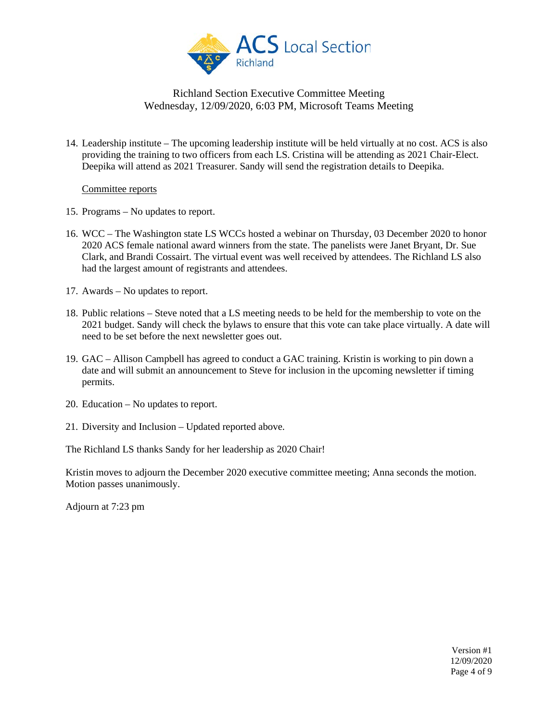

14. Leadership institute – The upcoming leadership institute will be held virtually at no cost. ACS is also providing the training to two officers from each LS. Cristina will be attending as 2021 Chair-Elect. Deepika will attend as 2021 Treasurer. Sandy will send the registration details to Deepika.

#### Committee reports

- 15. Programs No updates to report.
- 16. WCC The Washington state LS WCCs hosted a webinar on Thursday, 03 December 2020 to honor 2020 ACS female national award winners from the state. The panelists were Janet Bryant, Dr. Sue Clark, and Brandi Cossairt. The virtual event was well received by attendees. The Richland LS also had the largest amount of registrants and attendees.
- 17. Awards No updates to report.
- 18. Public relations Steve noted that a LS meeting needs to be held for the membership to vote on the 2021 budget. Sandy will check the bylaws to ensure that this vote can take place virtually. A date will need to be set before the next newsletter goes out.
- 19. GAC Allison Campbell has agreed to conduct a GAC training. Kristin is working to pin down a date and will submit an announcement to Steve for inclusion in the upcoming newsletter if timing permits.
- 20. Education No updates to report.
- 21. Diversity and Inclusion Updated reported above.

The Richland LS thanks Sandy for her leadership as 2020 Chair!

Kristin moves to adjourn the December 2020 executive committee meeting; Anna seconds the motion. Motion passes unanimously.

Adjourn at 7:23 pm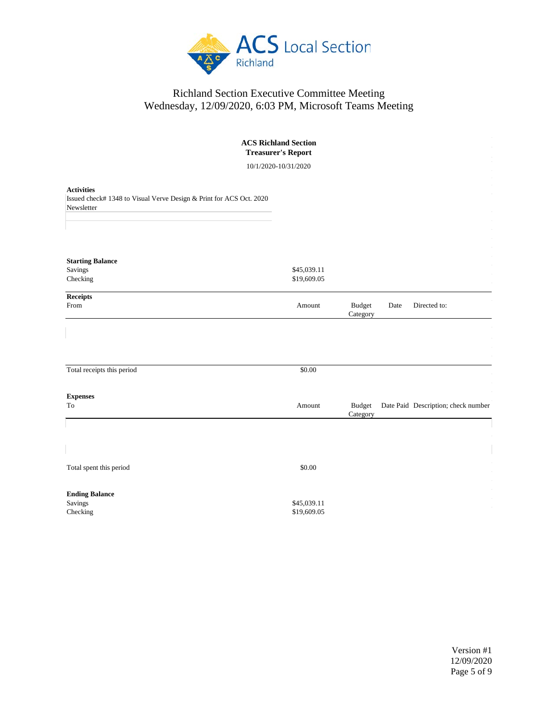

| <b>ACS Richland Section</b><br><b>Treasurer's Report</b>                                               |                            |                           |      |                                     |  |  |  |  |
|--------------------------------------------------------------------------------------------------------|----------------------------|---------------------------|------|-------------------------------------|--|--|--|--|
| 10/1/2020-10/31/2020                                                                                   |                            |                           |      |                                     |  |  |  |  |
| <b>Activities</b><br>Issued check# 1348 to Visual Verve Design & Print for ACS Oct. 2020<br>Newsletter |                            |                           |      |                                     |  |  |  |  |
| <b>Starting Balance</b><br>Savings<br>Checking                                                         | \$45,039.11<br>\$19,609.05 |                           |      |                                     |  |  |  |  |
| Receipts<br>From                                                                                       | Amount                     | <b>Budget</b><br>Category | Date | Directed to:                        |  |  |  |  |
| Total receipts this period                                                                             | \$0.00                     |                           |      |                                     |  |  |  |  |
| <b>Expenses</b><br>To                                                                                  | Amount                     | <b>Budget</b><br>Category |      | Date Paid Description; check number |  |  |  |  |
|                                                                                                        |                            |                           |      |                                     |  |  |  |  |
| Total spent this period                                                                                | \$0.00                     |                           |      |                                     |  |  |  |  |
| <b>Ending Balance</b><br>Savings<br>Checking                                                           | \$45,039.11<br>\$19,609.05 |                           |      |                                     |  |  |  |  |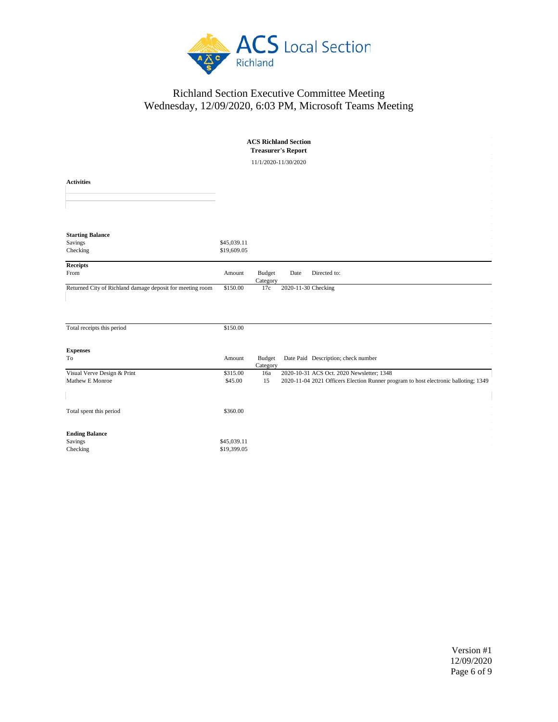

| <b>ACS Richland Section</b><br><b>Treasurer's Report</b>  |                            |                           |                     |                                                                                     |  |  |  |  |  |  |
|-----------------------------------------------------------|----------------------------|---------------------------|---------------------|-------------------------------------------------------------------------------------|--|--|--|--|--|--|
| 11/1/2020-11/30/2020                                      |                            |                           |                     |                                                                                     |  |  |  |  |  |  |
| <b>Activities</b>                                         |                            |                           |                     |                                                                                     |  |  |  |  |  |  |
| <b>Starting Balance</b><br>Savings<br>Checking            | \$45,039.11<br>\$19,609.05 |                           |                     |                                                                                     |  |  |  |  |  |  |
| Receipts<br>From                                          | Amount                     | <b>Budget</b><br>Category | Date                | Directed to:                                                                        |  |  |  |  |  |  |
| Returned City of Richland damage deposit for meeting room | \$150.00                   | 17c                       | 2020-11-30 Checking |                                                                                     |  |  |  |  |  |  |
| Total receipts this period                                | \$150.00                   |                           |                     |                                                                                     |  |  |  |  |  |  |
| <b>Expenses</b>                                           |                            |                           |                     |                                                                                     |  |  |  |  |  |  |
| To                                                        | Amount                     | Budget<br>Category        |                     | Date Paid Description; check number                                                 |  |  |  |  |  |  |
| Visual Verve Design & Print                               | \$315.00                   | 16a                       |                     | 2020-10-31 ACS Oct. 2020 Newsletter; 1348                                           |  |  |  |  |  |  |
| Mathew E Monroe                                           | \$45.00                    | 15                        |                     | 2020-11-04 2021 Officers Election Runner program to host electronic balloting; 1349 |  |  |  |  |  |  |
| Total spent this period                                   | \$360.00                   |                           |                     |                                                                                     |  |  |  |  |  |  |
| <b>Ending Balance</b><br>Savings<br>Checking              | \$45,039.11<br>\$19,399.05 |                           |                     |                                                                                     |  |  |  |  |  |  |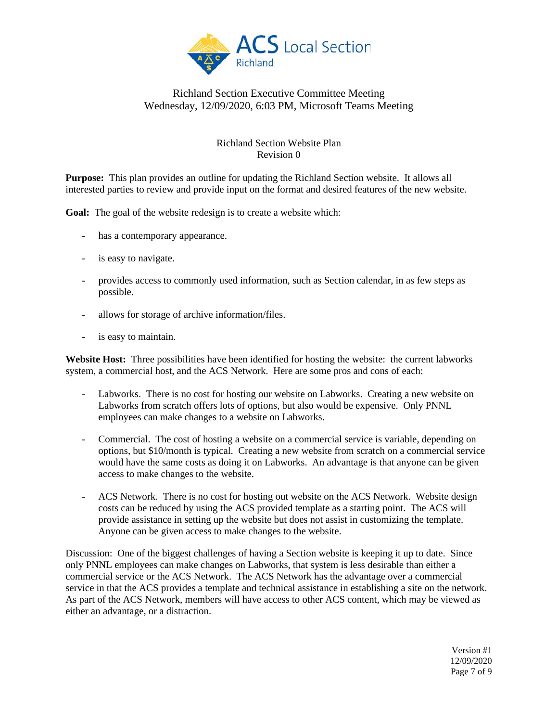

#### Richland Section Website Plan Revision 0

**Purpose:** This plan provides an outline for updating the Richland Section website. It allows all interested parties to review and provide input on the format and desired features of the new website.

**Goal:** The goal of the website redesign is to create a website which:

- has a contemporary appearance.
- is easy to navigate.
- provides access to commonly used information, such as Section calendar, in as few steps as possible.
- allows for storage of archive information/files.
- is easy to maintain.

**Website Host:** Three possibilities have been identified for hosting the website: the current labworks system, a commercial host, and the ACS Network. Here are some pros and cons of each:

- Labworks. There is no cost for hosting our website on Labworks. Creating a new website on Labworks from scratch offers lots of options, but also would be expensive. Only PNNL employees can make changes to a website on Labworks.
- Commercial. The cost of hosting a website on a commercial service is variable, depending on options, but \$10/month is typical. Creating a new website from scratch on a commercial service would have the same costs as doing it on Labworks. An advantage is that anyone can be given access to make changes to the website.
- ACS Network. There is no cost for hosting out website on the ACS Network. Website design costs can be reduced by using the ACS provided template as a starting point. The ACS will provide assistance in setting up the website but does not assist in customizing the template. Anyone can be given access to make changes to the website.

Discussion: One of the biggest challenges of having a Section website is keeping it up to date. Since only PNNL employees can make changes on Labworks, that system is less desirable than either a commercial service or the ACS Network. The ACS Network has the advantage over a commercial service in that the ACS provides a template and technical assistance in establishing a site on the network. As part of the ACS Network, members will have access to other ACS content, which may be viewed as either an advantage, or a distraction.

> Version #1 12/09/2020 Page 7 of 9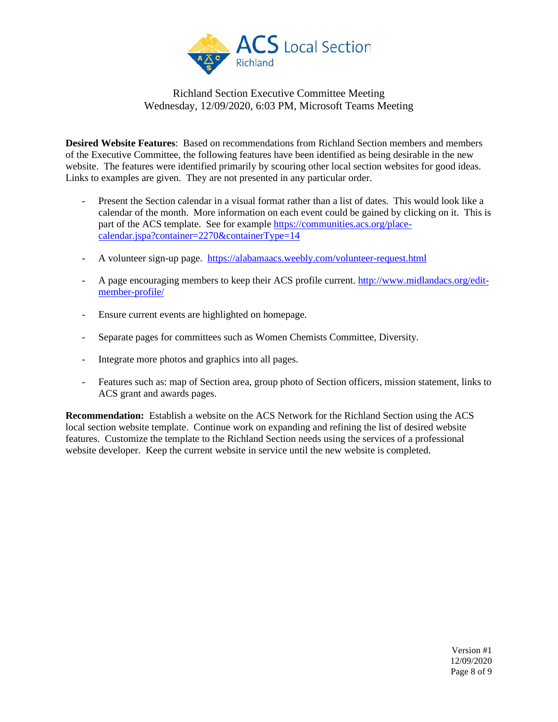

**Desired Website Features**: Based on recommendations from Richland Section members and members of the Executive Committee, the following features have been identified as being desirable in the new website. The features were identified primarily by scouring other local section websites for good ideas. Links to examples are given. They are not presented in any particular order.

- Present the Section calendar in a visual format rather than a list of dates. This would look like a calendar of the month. More information on each event could be gained by clicking on it. This is part of the ACS template. See for example [https://communities.acs.org/place](https://communities.acs.org/place-calendar.jspa?container=2270&containerType=14)[calendar.jspa?container=2270&containerType=14](https://communities.acs.org/place-calendar.jspa?container=2270&containerType=14)
- A volunteer sign-up page.<https://alabamaacs.weebly.com/volunteer-request.html>
- A page encouraging members to keep their ACS profile current. [http://www.midlandacs.org/edit](http://www.midlandacs.org/edit-member-profile/)[member-profile/](http://www.midlandacs.org/edit-member-profile/)
- Ensure current events are highlighted on homepage.
- Separate pages for committees such as Women Chemists Committee, Diversity.
- Integrate more photos and graphics into all pages.
- Features such as: map of Section area, group photo of Section officers, mission statement, links to ACS grant and awards pages.

**Recommendation:** Establish a website on the ACS Network for the Richland Section using the ACS local section website template. Continue work on expanding and refining the list of desired website features. Customize the template to the Richland Section needs using the services of a professional website developer. Keep the current website in service until the new website is completed.